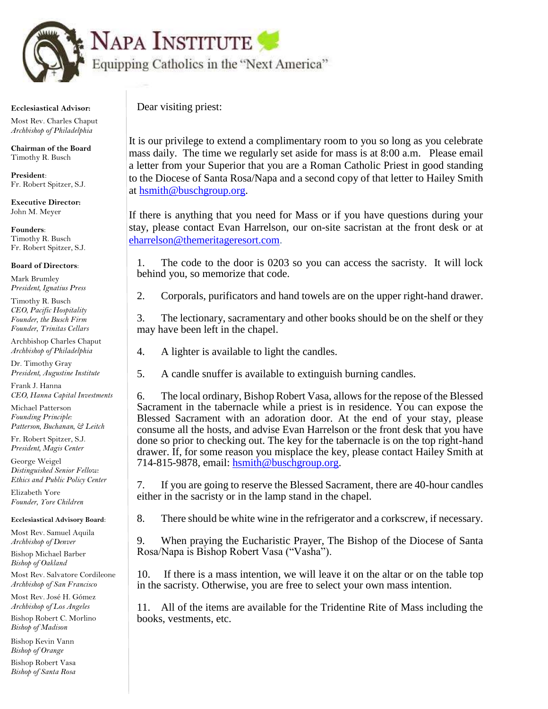

## **Ecclesiastical Advisor:**

 Most Rev. Charles Chaput  *Archbishop of Philadelphia*

 **Chairman of the Board** Timothy R. Busch

 **President**: Fr. Robert Spitzer, S.J.

 **Executive Director:** John M. Meyer

 **Founders**: Timothy R. Busch Fr. Robert Spitzer, S.J.

## **Board of Directors**:

 Mark Brumley  *President, Ignatius Press*

 Timothy R. Busch  *CEO, Pacific Hospitality Founder, the Busch Firm Founder, Trinitas Cellars*

 Archbishop Charles Chaput  *Archbishop of Philadelphia* 

 Dr. Timothy Gray  *President, Augustine Institute*

 Frank J. Hanna  *CEO, Hanna Capital Investments*

 Michael Patterson  *Founding Principle: Patterson, Buchanan, & Leitch*

 Fr. Robert Spitzer, S.J.  *President, Magis Center*

 George Weigel  *Distinguished Senior Fellow: Ethics and Public Policy Center*

 Elizabeth Yore  *Founder, Yore Children* 

 **Ecclesiastical Advisory Board**:

 Most Rev. Samuel Aquila  *Archbishop of Denver*

 Bishop Michael Barber  *Bishop of Oakland*

 Most Rev. Salvatore Cordileone  *Archbishop of San Francisco*

 Most Rev. José H. Gómez  *Archbishop of Los Angeles*

 Bishop Robert C. Morlino  *Bishop of Madison*

 Bishop Kevin Vann  *Bishop of Orange*

 Bishop Robert Vasa  *Bishop of Santa Rosa* Dear visiting priest:

It is our privilege to extend a complimentary room to you so long as you celebrate mass daily. The time we regularly set aside for mass is at 8:00 a.m. Please email a letter from your Superior that you are a Roman Catholic Priest in good standing to the Diocese of Santa Rosa/Napa and a second copy of that letter to Hailey Smith at [hsmith@buschgroup.org.](mailto:hsmith@buschgroup.org)

If there is anything that you need for Mass or if you have questions during your stay, please contact Evan Harrelson, our on-site sacristan at the front desk or at [eharrelson@themeritageresort.com](mailto:eharrelson@themeritageresort.com).

1. The code to the door is 0203 so you can access the sacristy. It will lock behind you, so memorize that code.

2. Corporals, purificators and hand towels are on the upper right-hand drawer.

3. The lectionary, sacramentary and other books should be on the shelf or they may have been left in the chapel.

- 4. A lighter is available to light the candles.
- 5. A candle snuffer is available to extinguish burning candles.

6. The local ordinary, Bishop Robert Vasa, allows for the repose of the Blessed Sacrament in the tabernacle while a priest is in residence. You can expose the Blessed Sacrament with an adoration door. At the end of your stay, please consume all the hosts, and advise Evan Harrelson or the front desk that you have done so prior to checking out. The key for the tabernacle is on the top right-hand drawer. If, for some reason you misplace the key, please contact Hailey Smith at 714-815-9878, email: [hsmith@buschgroup.org.](mailto:hsmith@buschgroup.org)

7. If you are going to reserve the Blessed Sacrament, there are 40-hour candles either in the sacristy or in the lamp stand in the chapel.

8. There should be white wine in the refrigerator and a corkscrew, if necessary.

9. When praying the Eucharistic Prayer, The Bishop of the Diocese of Santa Rosa/Napa is Bishop Robert Vasa ("Vasha").

10. If there is a mass intention, we will leave it on the altar or on the table top in the sacristy. Otherwise, you are free to select your own mass intention.

11. All of the items are available for the Tridentine Rite of Mass including the books, vestments, etc.